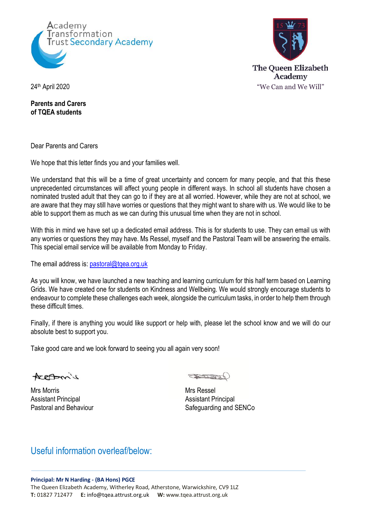



**Parents and Carers of TQEA students**

Dear Parents and Carers

We hope that this letter finds you and your families well.

We understand that this will be a time of great uncertainty and concern for many people, and that this these unprecedented circumstances will affect young people in different ways. In school all students have chosen a nominated trusted adult that they can go to if they are at all worried. However, while they are not at school, we are aware that they may still have worries or questions that they might want to share with us. We would like to be able to support them as much as we can during this unusual time when they are not in school.

With this in mind we have set up a dedicated email address. This is for students to use. They can email us with any worries or questions they may have. Ms Ressel, myself and the Pastoral Team will be answering the emails. This special email service will be available from Monday to Friday.

The email address is: pastoral@tqea.org.uk

As you will know, we have launched a new teaching and learning curriculum for this half term based on Learning Grids. We have created one for students on Kindness and Wellbeing. We would strongly encourage students to endeavour to complete these challenges each week, alongside the curriculum tasks, in order to help them through these difficult times.

Finally, if there is anything you would like support or help with, please let the school know and we will do our absolute best to support you.

Take good care and we look forward to seeing you all again very soon!

AreAmil

Mrs Morris **Mrs Ressel** Assistant Principal **Assistant Principal** 

SLOW

Pastoral and Behaviour Safeguarding and SENCo

## Useful information overleaf/below: